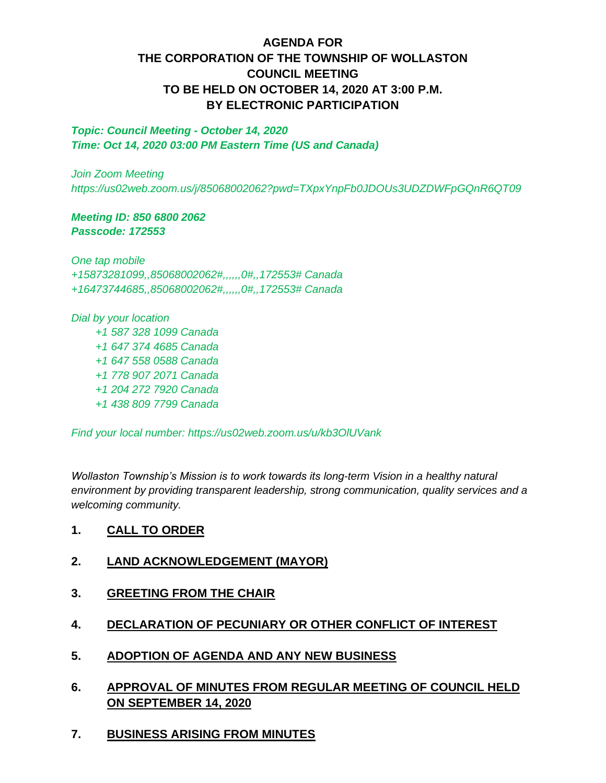# **AGENDA FOR THE CORPORATION OF THE TOWNSHIP OF WOLLASTON COUNCIL MEETING TO BE HELD ON OCTOBER 14, 2020 AT 3:00 P.M. BY ELECTRONIC PARTICIPATION**

*Topic: Council Meeting - October 14, 2020 Time: Oct 14, 2020 03:00 PM Eastern Time (US and Canada)*

*Join Zoom Meeting https://us02web.zoom.us/j/85068002062?pwd=TXpxYnpFb0JDOUs3UDZDWFpGQnR6QT09*

#### *Meeting ID: 850 6800 2062 Passcode: 172553*

*One tap mobile +15873281099,,85068002062#,,,,,,0#,,172553# Canada +16473744685,,85068002062#,,,,,,0#,,172553# Canada*

*Dial by your location +1 587 328 1099 Canada +1 647 374 4685 Canada +1 647 558 0588 Canada +1 778 907 2071 Canada +1 204 272 7920 Canada +1 438 809 7799 Canada*

*Find your local number: https://us02web.zoom.us/u/kb3OlUVank*

*Wollaston Township's Mission is to work towards its long-term Vision in a healthy natural environment by providing transparent leadership, strong communication, quality services and a welcoming community.*

### **1. CALL TO ORDER**

- **2. LAND ACKNOWLEDGEMENT (MAYOR)**
- **3. GREETING FROM THE CHAIR**
- **4. DECLARATION OF PECUNIARY OR OTHER CONFLICT OF INTEREST**
- **5. ADOPTION OF AGENDA AND ANY NEW BUSINESS**
- **6. APPROVAL OF MINUTES FROM REGULAR MEETING OF COUNCIL HELD ON SEPTEMBER 14, 2020**
- **7. BUSINESS ARISING FROM MINUTES**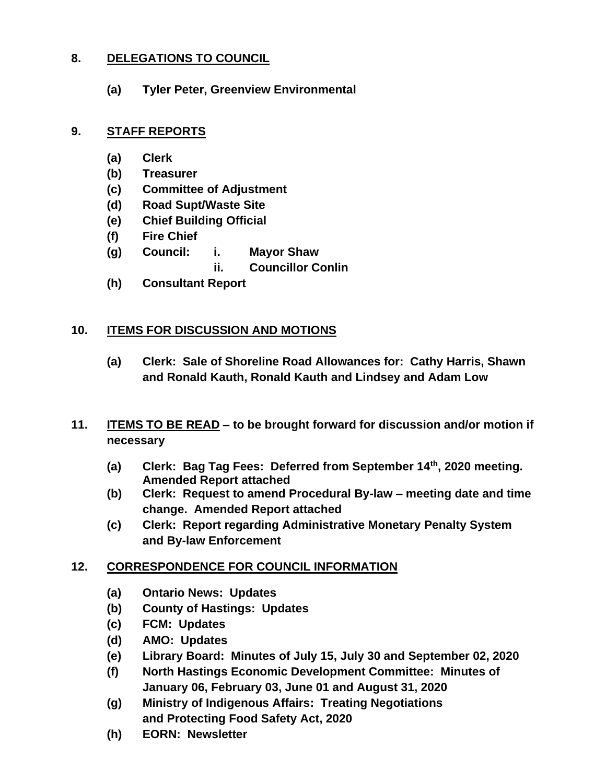# **8. DELEGATIONS TO COUNCIL**

**(a) Tyler Peter, Greenview Environmental**

## **9. STAFF REPORTS**

- **(a) Clerk**
- **(b) Treasurer**
- **(c) Committee of Adjustment**
- **(d) Road Supt/Waste Site**
- **(e) Chief Building Official**
- **(f) Fire Chief**
- **(g) Council: i. Mayor Shaw ii. Councillor Conlin**
- **(h) Consultant Report**

# **10. ITEMS FOR DISCUSSION AND MOTIONS**

- **(a) Clerk: Sale of Shoreline Road Allowances for: Cathy Harris, Shawn and Ronald Kauth, Ronald Kauth and Lindsey and Adam Low**
- **11. ITEMS TO BE READ – to be brought forward for discussion and/or motion if necessary**
	- **(a) Clerk: Bag Tag Fees: Deferred from September 14th, 2020 meeting. Amended Report attached**
	- **(b) Clerk: Request to amend Procedural By-law – meeting date and time change. Amended Report attached**
	- **(c) Clerk: Report regarding Administrative Monetary Penalty System and By-law Enforcement**

### **12. CORRESPONDENCE FOR COUNCIL INFORMATION**

- **(a) Ontario News: Updates**
- **(b) County of Hastings: Updates**
- **(c) FCM: Updates**
- **(d) AMO: Updates**
- **(e) Library Board: Minutes of July 15, July 30 and September 02, 2020**
- **(f) North Hastings Economic Development Committee: Minutes of January 06, February 03, June 01 and August 31, 2020**
- **(g) Ministry of Indigenous Affairs: Treating Negotiations and Protecting Food Safety Act, 2020**
- **(h) EORN: Newsletter**